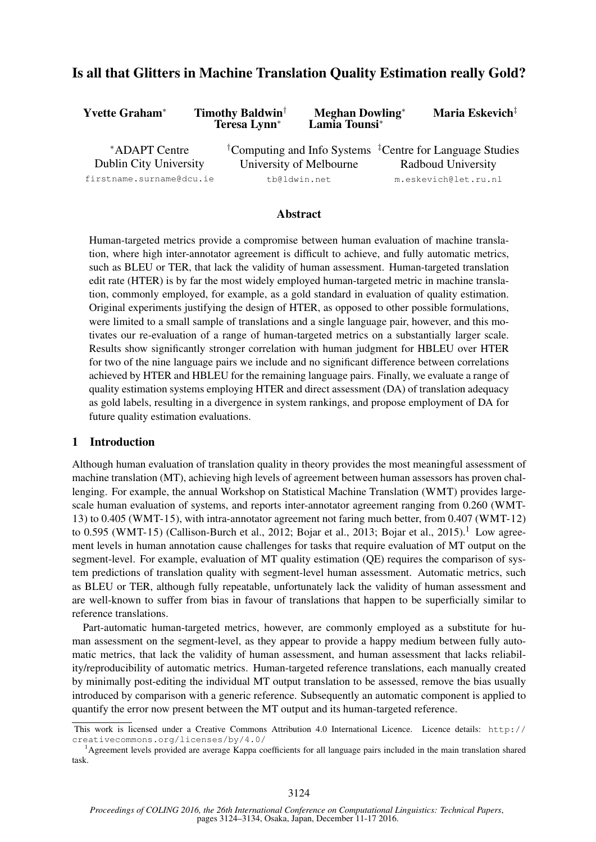# Is all that Glitters in Machine Translation Quality Estimation really Gold?

| Yvette Graham*                                 | <b>Timothy Baldwin</b> <sup>†</sup><br>Teresa Lynn <sup>*</sup> | <b>Meghan Dowling*</b><br>Lamia Tounsi* | Maria Eskevich <sup>‡</sup>                                                                            |  |
|------------------------------------------------|-----------------------------------------------------------------|-----------------------------------------|--------------------------------------------------------------------------------------------------------|--|
| *ADAPT Centre<br><b>Dublin City University</b> |                                                                 | University of Melbourne                 | <sup>†</sup> Computing and Info Systems <sup>‡</sup> Centre for Language Studies<br>Radboud University |  |
| firstname.surname@dcu.ie                       |                                                                 | tb@ldwin.net                            | m.eskevich@let.ru.nl                                                                                   |  |

## Abstract

Human-targeted metrics provide a compromise between human evaluation of machine translation, where high inter-annotator agreement is difficult to achieve, and fully automatic metrics, such as BLEU or TER, that lack the validity of human assessment. Human-targeted translation edit rate (HTER) is by far the most widely employed human-targeted metric in machine translation, commonly employed, for example, as a gold standard in evaluation of quality estimation. Original experiments justifying the design of HTER, as opposed to other possible formulations, were limited to a small sample of translations and a single language pair, however, and this motivates our re-evaluation of a range of human-targeted metrics on a substantially larger scale. Results show significantly stronger correlation with human judgment for HBLEU over HTER for two of the nine language pairs we include and no significant difference between correlations achieved by HTER and HBLEU for the remaining language pairs. Finally, we evaluate a range of quality estimation systems employing HTER and direct assessment (DA) of translation adequacy as gold labels, resulting in a divergence in system rankings, and propose employment of DA for future quality estimation evaluations.

## 1 Introduction

Although human evaluation of translation quality in theory provides the most meaningful assessment of machine translation (MT), achieving high levels of agreement between human assessors has proven challenging. For example, the annual Workshop on Statistical Machine Translation (WMT) provides largescale human evaluation of systems, and reports inter-annotator agreement ranging from 0.260 (WMT-13) to 0.405 (WMT-15), with intra-annotator agreement not faring much better, from 0.407 (WMT-12) to 0.595 (WMT-15) (Callison-Burch et al., 2012; Bojar et al., 2013; Bojar et al., 2015).<sup>1</sup> Low agreement levels in human annotation cause challenges for tasks that require evaluation of MT output on the segment-level. For example, evaluation of MT quality estimation (QE) requires the comparison of system predictions of translation quality with segment-level human assessment. Automatic metrics, such as BLEU or TER, although fully repeatable, unfortunately lack the validity of human assessment and are well-known to suffer from bias in favour of translations that happen to be superficially similar to reference translations.

Part-automatic human-targeted metrics, however, are commonly employed as a substitute for human assessment on the segment-level, as they appear to provide a happy medium between fully automatic metrics, that lack the validity of human assessment, and human assessment that lacks reliability/reproducibility of automatic metrics. Human-targeted reference translations, each manually created by minimally post-editing the individual MT output translation to be assessed, remove the bias usually introduced by comparison with a generic reference. Subsequently an automatic component is applied to quantify the error now present between the MT output and its human-targeted reference.

This work is licensed under a Creative Commons Attribution 4.0 International Licence. Licence details: http:// creativecommons.org/licenses/by/4.0/

<sup>&</sup>lt;sup>1</sup>Agreement levels provided are average Kappa coefficients for all language pairs included in the main translation shared task.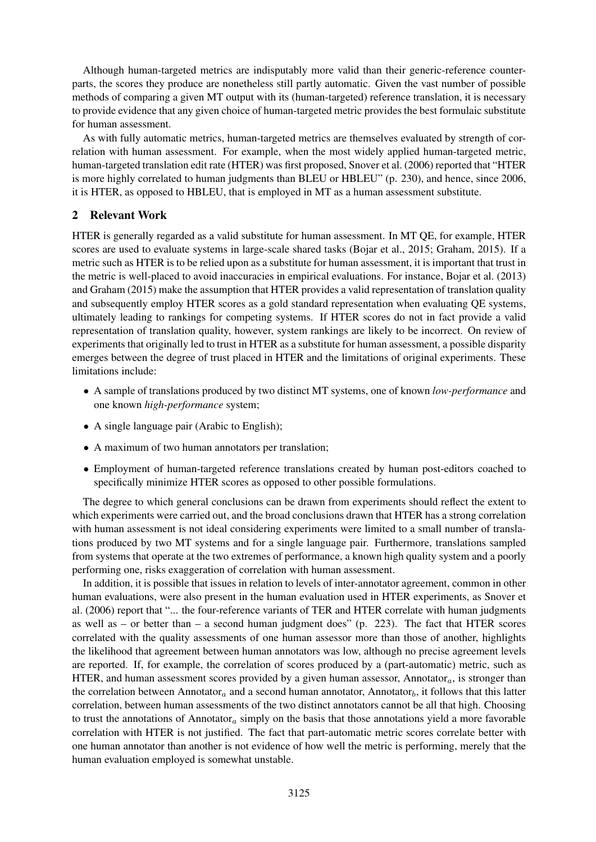Although human-targeted metrics are indisputably more valid than their generic-reference counterparts, the scores they produce are nonetheless still partly automatic. Given the vast number of possible methods of comparing a given MT output with its (human-targeted) reference translation, it is necessary to provide evidence that any given choice of human-targeted metric provides the best formulaic substitute for human assessment.

As with fully automatic metrics, human-targeted metrics are themselves evaluated by strength of correlation with human assessment. For example, when the most widely applied human-targeted metric, human-targeted translation edit rate (HTER) was first proposed, Snover et al. (2006) reported that "HTER is more highly correlated to human judgments than BLEU or HBLEU" (p. 230), and hence, since 2006, it is HTER, as opposed to HBLEU, that is employed in MT as a human assessment substitute.

## 2 Relevant Work

HTER is generally regarded as a valid substitute for human assessment. In MT QE, for example, HTER scores are used to evaluate systems in large-scale shared tasks (Bojar et al., 2015; Graham, 2015). If a metric such as HTER is to be relied upon as a substitute for human assessment, it is important that trust in the metric is well-placed to avoid inaccuracies in empirical evaluations. For instance, Bojar et al. (2013) and Graham (2015) make the assumption that HTER provides a valid representation of translation quality and subsequently employ HTER scores as a gold standard representation when evaluating QE systems, ultimately leading to rankings for competing systems. If HTER scores do not in fact provide a valid representation of translation quality, however, system rankings are likely to be incorrect. On review of experiments that originally led to trust in HTER as a substitute for human assessment, a possible disparity emerges between the degree of trust placed in HTER and the limitations of original experiments. These limitations include:

- A sample of translations produced by two distinct MT systems, one of known *low-performance* and one known *high-performance* system;
- A single language pair (Arabic to English);
- A maximum of two human annotators per translation;
- Employment of human-targeted reference translations created by human post-editors coached to specifically minimize HTER scores as opposed to other possible formulations.

The degree to which general conclusions can be drawn from experiments should reflect the extent to which experiments were carried out, and the broad conclusions drawn that HTER has a strong correlation with human assessment is not ideal considering experiments were limited to a small number of translations produced by two MT systems and for a single language pair. Furthermore, translations sampled from systems that operate at the two extremes of performance, a known high quality system and a poorly performing one, risks exaggeration of correlation with human assessment.

In addition, it is possible that issues in relation to levels of inter-annotator agreement, common in other human evaluations, were also present in the human evaluation used in HTER experiments, as Snover et al. (2006) report that "... the four-reference variants of TER and HTER correlate with human judgments as well as – or better than  $-$  a second human judgment does" (p. 223). The fact that HTER scores correlated with the quality assessments of one human assessor more than those of another, highlights the likelihood that agreement between human annotators was low, although no precise agreement levels are reported. If, for example, the correlation of scores produced by a (part-automatic) metric, such as HTER, and human assessment scores provided by a given human assessor, Annotator<sub>a</sub>, is stronger than the correlation between Annotator<sub>a</sub> and a second human annotator, Annotator<sub>b</sub>, it follows that this latter correlation, between human assessments of the two distinct annotators cannot be all that high. Choosing to trust the annotations of Annotator<sub>a</sub> simply on the basis that those annotations yield a more favorable correlation with HTER is not justified. The fact that part-automatic metric scores correlate better with one human annotator than another is not evidence of how well the metric is performing, merely that the human evaluation employed is somewhat unstable.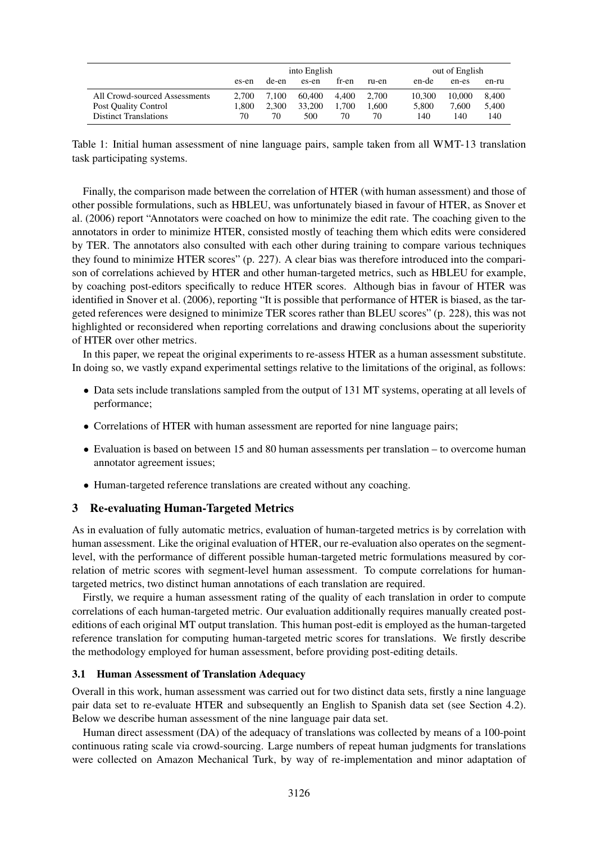|                               | into English |       |        |       |       |        | out of English |       |  |
|-------------------------------|--------------|-------|--------|-------|-------|--------|----------------|-------|--|
|                               | es-en        | de-en | es-en  | fr-en | ru-en | en-de  | en-es          | en-ru |  |
| All Crowd-sourced Assessments | 2.700        | 7.100 | 60.400 | 4.400 | 2.700 | 10.300 | 10,000         | 8.400 |  |
| Post Quality Control          | .800         | 2.300 | 33,200 | 1.700 | .600  | 5.800  | 7.600          | 5.400 |  |
| <b>Distinct Translations</b>  | 70           | 70    | 500    | 70    | 70    | 140    | 140            | 140   |  |

Table 1: Initial human assessment of nine language pairs, sample taken from all WMT-13 translation task participating systems.

Finally, the comparison made between the correlation of HTER (with human assessment) and those of other possible formulations, such as HBLEU, was unfortunately biased in favour of HTER, as Snover et al. (2006) report "Annotators were coached on how to minimize the edit rate. The coaching given to the annotators in order to minimize HTER, consisted mostly of teaching them which edits were considered by TER. The annotators also consulted with each other during training to compare various techniques they found to minimize HTER scores" (p. 227). A clear bias was therefore introduced into the comparison of correlations achieved by HTER and other human-targeted metrics, such as HBLEU for example, by coaching post-editors specifically to reduce HTER scores. Although bias in favour of HTER was identified in Snover et al. (2006), reporting "It is possible that performance of HTER is biased, as the targeted references were designed to minimize TER scores rather than BLEU scores" (p. 228), this was not highlighted or reconsidered when reporting correlations and drawing conclusions about the superiority of HTER over other metrics.

In this paper, we repeat the original experiments to re-assess HTER as a human assessment substitute. In doing so, we vastly expand experimental settings relative to the limitations of the original, as follows:

- Data sets include translations sampled from the output of 131 MT systems, operating at all levels of performance;
- Correlations of HTER with human assessment are reported for nine language pairs;
- Evaluation is based on between 15 and 80 human assessments per translation to overcome human annotator agreement issues;
- Human-targeted reference translations are created without any coaching.

## 3 Re-evaluating Human-Targeted Metrics

As in evaluation of fully automatic metrics, evaluation of human-targeted metrics is by correlation with human assessment. Like the original evaluation of HTER, our re-evaluation also operates on the segmentlevel, with the performance of different possible human-targeted metric formulations measured by correlation of metric scores with segment-level human assessment. To compute correlations for humantargeted metrics, two distinct human annotations of each translation are required.

Firstly, we require a human assessment rating of the quality of each translation in order to compute correlations of each human-targeted metric. Our evaluation additionally requires manually created posteditions of each original MT output translation. This human post-edit is employed as the human-targeted reference translation for computing human-targeted metric scores for translations. We firstly describe the methodology employed for human assessment, before providing post-editing details.

#### 3.1 Human Assessment of Translation Adequacy

Overall in this work, human assessment was carried out for two distinct data sets, firstly a nine language pair data set to re-evaluate HTER and subsequently an English to Spanish data set (see Section 4.2). Below we describe human assessment of the nine language pair data set.

Human direct assessment (DA) of the adequacy of translations was collected by means of a 100-point continuous rating scale via crowd-sourcing. Large numbers of repeat human judgments for translations were collected on Amazon Mechanical Turk, by way of re-implementation and minor adaptation of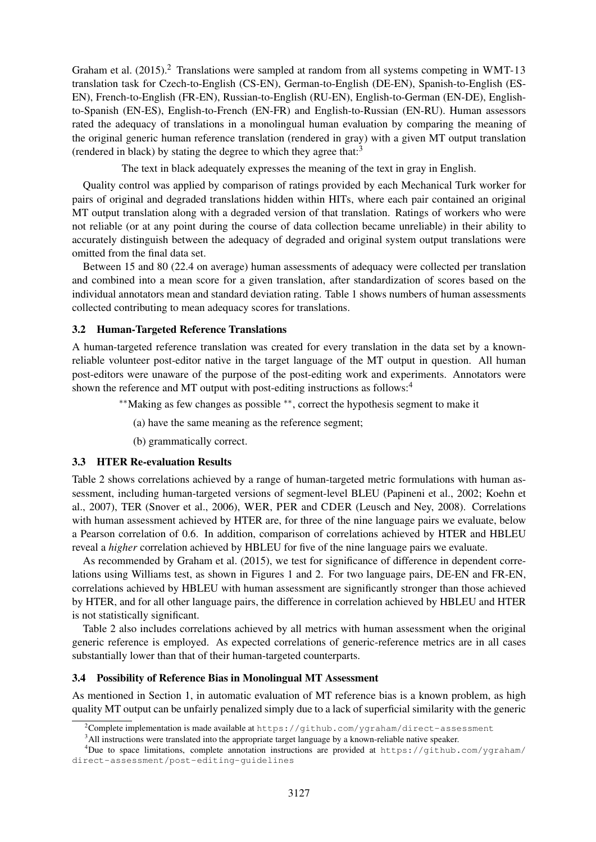Graham et al.  $(2015)$ .<sup>2</sup> Translations were sampled at random from all systems competing in WMT-13 translation task for Czech-to-English (CS-EN), German-to-English (DE-EN), Spanish-to-English (ES-EN), French-to-English (FR-EN), Russian-to-English (RU-EN), English-to-German (EN-DE), Englishto-Spanish (EN-ES), English-to-French (EN-FR) and English-to-Russian (EN-RU). Human assessors rated the adequacy of translations in a monolingual human evaluation by comparing the meaning of the original generic human reference translation (rendered in gray) with a given MT output translation (rendered in black) by stating the degree to which they agree that: $3$ 

The text in black adequately expresses the meaning of the text in gray in English.

Quality control was applied by comparison of ratings provided by each Mechanical Turk worker for pairs of original and degraded translations hidden within HITs, where each pair contained an original MT output translation along with a degraded version of that translation. Ratings of workers who were not reliable (or at any point during the course of data collection became unreliable) in their ability to accurately distinguish between the adequacy of degraded and original system output translations were omitted from the final data set.

Between 15 and 80 (22.4 on average) human assessments of adequacy were collected per translation and combined into a mean score for a given translation, after standardization of scores based on the individual annotators mean and standard deviation rating. Table 1 shows numbers of human assessments collected contributing to mean adequacy scores for translations.

#### 3.2 Human-Targeted Reference Translations

A human-targeted reference translation was created for every translation in the data set by a knownreliable volunteer post-editor native in the target language of the MT output in question. All human post-editors were unaware of the purpose of the post-editing work and experiments. Annotators were shown the reference and MT output with post-editing instructions as follows:<sup>4</sup>

- ∗∗Making as few changes as possible ∗∗, correct the hypothesis segment to make it
	- (a) have the same meaning as the reference segment;
	- (b) grammatically correct.

#### 3.3 HTER Re-evaluation Results

Table 2 shows correlations achieved by a range of human-targeted metric formulations with human assessment, including human-targeted versions of segment-level BLEU (Papineni et al., 2002; Koehn et al., 2007), TER (Snover et al., 2006), WER, PER and CDER (Leusch and Ney, 2008). Correlations with human assessment achieved by HTER are, for three of the nine language pairs we evaluate, below a Pearson correlation of 0.6. In addition, comparison of correlations achieved by HTER and HBLEU reveal a *higher* correlation achieved by HBLEU for five of the nine language pairs we evaluate.

As recommended by Graham et al. (2015), we test for significance of difference in dependent correlations using Williams test, as shown in Figures 1 and 2. For two language pairs, DE-EN and FR-EN, correlations achieved by HBLEU with human assessment are significantly stronger than those achieved by HTER, and for all other language pairs, the difference in correlation achieved by HBLEU and HTER is not statistically significant.

Table 2 also includes correlations achieved by all metrics with human assessment when the original generic reference is employed. As expected correlations of generic-reference metrics are in all cases substantially lower than that of their human-targeted counterparts.

#### 3.4 Possibility of Reference Bias in Monolingual MT Assessment

As mentioned in Section 1, in automatic evaluation of MT reference bias is a known problem, as high quality MT output can be unfairly penalized simply due to a lack of superficial similarity with the generic

<sup>&</sup>lt;sup>2</sup>Complete implementation is made available at  $https://github.com/yzahan/direct-assessment$ 

<sup>&</sup>lt;sup>3</sup>All instructions were translated into the appropriate target language by a known-reliable native speaker.

<sup>&</sup>lt;sup>4</sup>Due to space limitations, complete annotation instructions are provided at  $https://github.com/yzahan/$ direct-assessment/post-editing-guidelines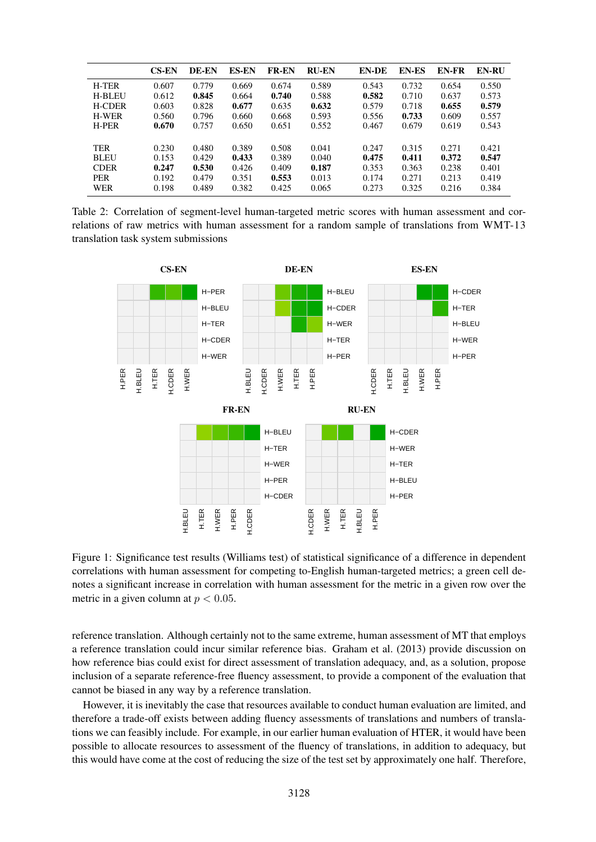|               | <b>CS-EN</b> | DE-EN | <b>ES-EN</b> | <b>FR-EN</b> | <b>RU-EN</b> | <b>EN-DE</b> | <b>EN-ES</b> | <b>EN-FR</b> | <b>EN-RU</b> |
|---------------|--------------|-------|--------------|--------------|--------------|--------------|--------------|--------------|--------------|
| <b>H-TER</b>  | 0.607        | 0.779 | 0.669        | 0.674        | 0.589        | 0.543        | 0.732        | 0.654        | 0.550        |
| <b>H-BLEU</b> | 0.612        | 0.845 | 0.664        | 0.740        | 0.588        | 0.582        | 0.710        | 0.637        | 0.573        |
| <b>H-CDER</b> | 0.603        | 0.828 | 0.677        | 0.635        | 0.632        | 0.579        | 0.718        | 0.655        | 0.579        |
| <b>H-WER</b>  | 0.560        | 0.796 | 0.660        | 0.668        | 0.593        | 0.556        | 0.733        | 0.609        | 0.557        |
| <b>H-PER</b>  | 0.670        | 0.757 | 0.650        | 0.651        | 0.552        | 0.467        | 0.679        | 0.619        | 0.543        |
|               |              |       |              |              |              |              |              |              |              |
| <b>TER</b>    | 0.230        | 0.480 | 0.389        | 0.508        | 0.041        | 0.247        | 0.315        | 0.271        | 0.421        |
| <b>BLEU</b>   | 0.153        | 0.429 | 0.433        | 0.389        | 0.040        | 0.475        | 0.411        | 0.372        | 0.547        |
| <b>CDER</b>   | 0.247        | 0.530 | 0.426        | 0.409        | 0.187        | 0.353        | 0.363        | 0.238        | 0.401        |
| <b>PER</b>    | 0.192        | 0.479 | 0.351        | 0.553        | 0.013        | 0.174        | 0.271        | 0.213        | 0.419        |
| <b>WER</b>    | 0.198        | 0.489 | 0.382        | 0.425        | 0.065        | 0.273        | 0.325        | 0.216        | 0.384        |

Table 2: Correlation of segment-level human-targeted metric scores with human assessment and correlations of raw metrics with human assessment for a random sample of translations from WMT-13 translation task system submissions



Figure 1: Significance test results (Williams test) of statistical significance of a difference in dependent correlations with human assessment for competing to-English human-targeted metrics; a green cell denotes a significant increase in correlation with human assessment for the metric in a given row over the metric in a given column at  $p < 0.05$ .

reference translation. Although certainly not to the same extreme, human assessment of MT that employs a reference translation could incur similar reference bias. Graham et al. (2013) provide discussion on how reference bias could exist for direct assessment of translation adequacy, and, as a solution, propose inclusion of a separate reference-free fluency assessment, to provide a component of the evaluation that cannot be biased in any way by a reference translation.

However, it is inevitably the case that resources available to conduct human evaluation are limited, and therefore a trade-off exists between adding fluency assessments of translations and numbers of translations we can feasibly include. For example, in our earlier human evaluation of HTER, it would have been possible to allocate resources to assessment of the fluency of translations, in addition to adequacy, but this would have come at the cost of reducing the size of the test set by approximately one half. Therefore,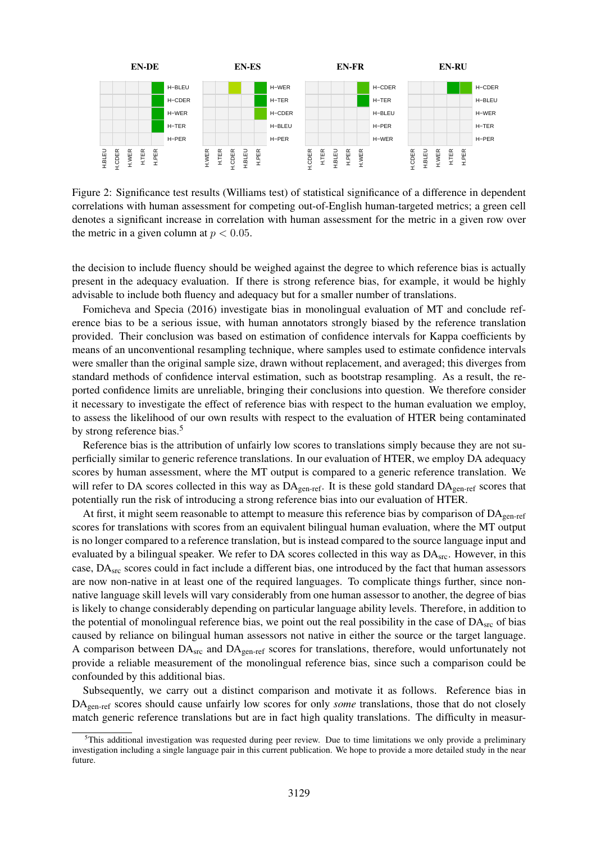

Figure 2: Significance test results (Williams test) of statistical significance of a difference in dependent correlations with human assessment for competing out-of-English human-targeted metrics; a green cell denotes a significant increase in correlation with human assessment for the metric in a given row over the metric in a given column at  $p < 0.05$ .

the decision to include fluency should be weighed against the degree to which reference bias is actually present in the adequacy evaluation. If there is strong reference bias, for example, it would be highly advisable to include both fluency and adequacy but for a smaller number of translations.

Fomicheva and Specia (2016) investigate bias in monolingual evaluation of MT and conclude reference bias to be a serious issue, with human annotators strongly biased by the reference translation provided. Their conclusion was based on estimation of confidence intervals for Kappa coefficients by means of an unconventional resampling technique, where samples used to estimate confidence intervals were smaller than the original sample size, drawn without replacement, and averaged; this diverges from standard methods of confidence interval estimation, such as bootstrap resampling. As a result, the reported confidence limits are unreliable, bringing their conclusions into question. We therefore consider it necessary to investigate the effect of reference bias with respect to the human evaluation we employ, to assess the likelihood of our own results with respect to the evaluation of HTER being contaminated by strong reference bias.<sup>5</sup>

Reference bias is the attribution of unfairly low scores to translations simply because they are not superficially similar to generic reference translations. In our evaluation of HTER, we employ DA adequacy scores by human assessment, where the MT output is compared to a generic reference translation. We will refer to DA scores collected in this way as DA<sub>gen-ref</sub>. It is these gold standard DA<sub>gen-ref</sub> scores that potentially run the risk of introducing a strong reference bias into our evaluation of HTER.

At first, it might seem reasonable to attempt to measure this reference bias by comparison of  $DA<sub>gen-ref}</sub>$ scores for translations with scores from an equivalent bilingual human evaluation, where the MT output is no longer compared to a reference translation, but is instead compared to the source language input and evaluated by a bilingual speaker. We refer to DA scores collected in this way as  $DA<sub>src</sub>$ . However, in this case, DAsrc scores could in fact include a different bias, one introduced by the fact that human assessors are now non-native in at least one of the required languages. To complicate things further, since nonnative language skill levels will vary considerably from one human assessor to another, the degree of bias is likely to change considerably depending on particular language ability levels. Therefore, in addition to the potential of monolingual reference bias, we point out the real possibility in the case of  $DA<sub>src</sub>$  of bias caused by reliance on bilingual human assessors not native in either the source or the target language. A comparison between  $DA<sub>src</sub>$  and  $DA<sub>gen-ref</sub>$  scores for translations, therefore, would unfortunately not provide a reliable measurement of the monolingual reference bias, since such a comparison could be confounded by this additional bias.

Subsequently, we carry out a distinct comparison and motivate it as follows. Reference bias in DAgen-ref scores should cause unfairly low scores for only *some* translations, those that do not closely match generic reference translations but are in fact high quality translations. The difficulty in measur-

<sup>&</sup>lt;sup>5</sup>This additional investigation was requested during peer review. Due to time limitations we only provide a preliminary investigation including a single language pair in this current publication. We hope to provide a more detailed study in the near future.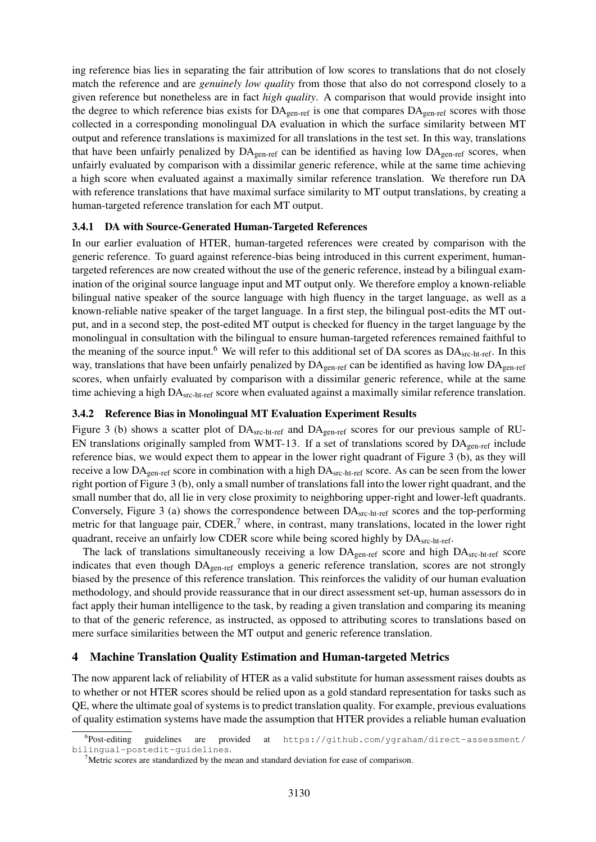ing reference bias lies in separating the fair attribution of low scores to translations that do not closely match the reference and are *genuinely low quality* from those that also do not correspond closely to a given reference but nonetheless are in fact *high quality*. A comparison that would provide insight into the degree to which reference bias exists for  $DA_{gen-ref}$  is one that compares  $DA_{gen-ref}$  scores with those collected in a corresponding monolingual DA evaluation in which the surface similarity between MT output and reference translations is maximized for all translations in the test set. In this way, translations that have been unfairly penalized by  $DA_{gen-ref}$  can be identified as having low  $DA_{gen-ref}$  scores, when unfairly evaluated by comparison with a dissimilar generic reference, while at the same time achieving a high score when evaluated against a maximally similar reference translation. We therefore run DA with reference translations that have maximal surface similarity to MT output translations, by creating a human-targeted reference translation for each MT output.

### 3.4.1 DA with Source-Generated Human-Targeted References

In our earlier evaluation of HTER, human-targeted references were created by comparison with the generic reference. To guard against reference-bias being introduced in this current experiment, humantargeted references are now created without the use of the generic reference, instead by a bilingual examination of the original source language input and MT output only. We therefore employ a known-reliable bilingual native speaker of the source language with high fluency in the target language, as well as a known-reliable native speaker of the target language. In a first step, the bilingual post-edits the MT output, and in a second step, the post-edited MT output is checked for fluency in the target language by the monolingual in consultation with the bilingual to ensure human-targeted references remained faithful to the meaning of the source input.<sup>6</sup> We will refer to this additional set of DA scores as  $DA_{src-ht-ref}$ . In this way, translations that have been unfairly penalized by  $DA_{gen-ref}$  can be identified as having low  $DA_{gen-ref}$ scores, when unfairly evaluated by comparison with a dissimilar generic reference, while at the same time achieving a high DA<sub>src-ht-ref</sub> score when evaluated against a maximally similar reference translation.

### 3.4.2 Reference Bias in Monolingual MT Evaluation Experiment Results

Figure 3 (b) shows a scatter plot of DA<sub>src-ht-ref</sub> and DA<sub>gen-ref</sub> scores for our previous sample of RU-EN translations originally sampled from WMT-13. If a set of translations scored by  $DA_{gen-ref}$  include reference bias, we would expect them to appear in the lower right quadrant of Figure 3 (b), as they will receive a low  $DA_{gen-ref}$  score in combination with a high  $DA_{src-ht-ref}$  score. As can be seen from the lower right portion of Figure 3 (b), only a small number of translations fall into the lower right quadrant, and the small number that do, all lie in very close proximity to neighboring upper-right and lower-left quadrants. Conversely, Figure 3 (a) shows the correspondence between  $DA_{src-ht-ref}$  scores and the top-performing metric for that language pair, CDER,<sup>7</sup> where, in contrast, many translations, located in the lower right quadrant, receive an unfairly low CDER score while being scored highly by DA<sub>src-ht-ref</sub>.

The lack of translations simultaneously receiving a low  $DA_{gen-ref}$  score and high  $DA_{src-h1-ref}$  score indicates that even though  $DA_{gen-ref}$  employs a generic reference translation, scores are not strongly biased by the presence of this reference translation. This reinforces the validity of our human evaluation methodology, and should provide reassurance that in our direct assessment set-up, human assessors do in fact apply their human intelligence to the task, by reading a given translation and comparing its meaning to that of the generic reference, as instructed, as opposed to attributing scores to translations based on mere surface similarities between the MT output and generic reference translation.

## 4 Machine Translation Quality Estimation and Human-targeted Metrics

The now apparent lack of reliability of HTER as a valid substitute for human assessment raises doubts as to whether or not HTER scores should be relied upon as a gold standard representation for tasks such as QE, where the ultimate goal of systems is to predict translation quality. For example, previous evaluations of quality estimation systems have made the assumption that HTER provides a reliable human evaluation

<sup>&</sup>lt;sup>6</sup>Post-editing guidelines are provided at https://github.com/ygraham/direct-assessment/ bilingual-postedit-guidelines.

<sup>&</sup>lt;sup>7</sup>Metric scores are standardized by the mean and standard deviation for ease of comparison.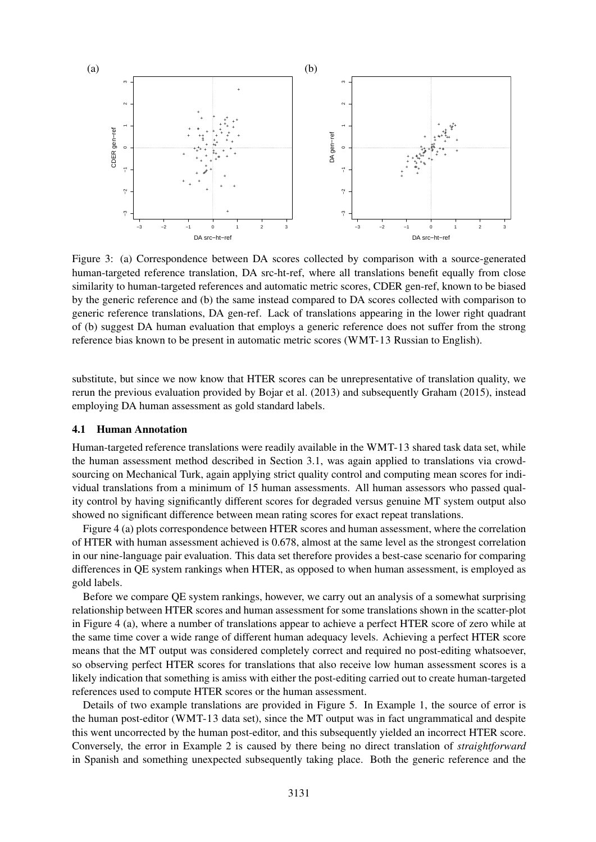

Figure 3: (a) Correspondence between DA scores collected by comparison with a source-generated human-targeted reference translation, DA src-ht-ref, where all translations benefit equally from close similarity to human-targeted references and automatic metric scores, CDER gen-ref, known to be biased by the generic reference and (b) the same instead compared to DA scores collected with comparison to generic reference translations, DA gen-ref. Lack of translations appearing in the lower right quadrant of (b) suggest DA human evaluation that employs a generic reference does not suffer from the strong reference bias known to be present in automatic metric scores (WMT-13 Russian to English).

substitute, but since we now know that HTER scores can be unrepresentative of translation quality, we rerun the previous evaluation provided by Bojar et al. (2013) and subsequently Graham (2015), instead employing DA human assessment as gold standard labels.

#### 4.1 Human Annotation

Human-targeted reference translations were readily available in the WMT-13 shared task data set, while the human assessment method described in Section 3.1, was again applied to translations via crowdsourcing on Mechanical Turk, again applying strict quality control and computing mean scores for individual translations from a minimum of 15 human assessments. All human assessors who passed quality control by having significantly different scores for degraded versus genuine MT system output also showed no significant difference between mean rating scores for exact repeat translations.

Figure 4 (a) plots correspondence between HTER scores and human assessment, where the correlation of HTER with human assessment achieved is 0.678, almost at the same level as the strongest correlation in our nine-language pair evaluation. This data set therefore provides a best-case scenario for comparing differences in QE system rankings when HTER, as opposed to when human assessment, is employed as gold labels.

Before we compare QE system rankings, however, we carry out an analysis of a somewhat surprising relationship between HTER scores and human assessment for some translations shown in the scatter-plot in Figure 4 (a), where a number of translations appear to achieve a perfect HTER score of zero while at the same time cover a wide range of different human adequacy levels. Achieving a perfect HTER score means that the MT output was considered completely correct and required no post-editing whatsoever, so observing perfect HTER scores for translations that also receive low human assessment scores is a likely indication that something is amiss with either the post-editing carried out to create human-targeted references used to compute HTER scores or the human assessment.

Details of two example translations are provided in Figure 5. In Example 1, the source of error is the human post-editor (WMT-13 data set), since the MT output was in fact ungrammatical and despite this went uncorrected by the human post-editor, and this subsequently yielded an incorrect HTER score. Conversely, the error in Example 2 is caused by there being no direct translation of *straightforward* in Spanish and something unexpected subsequently taking place. Both the generic reference and the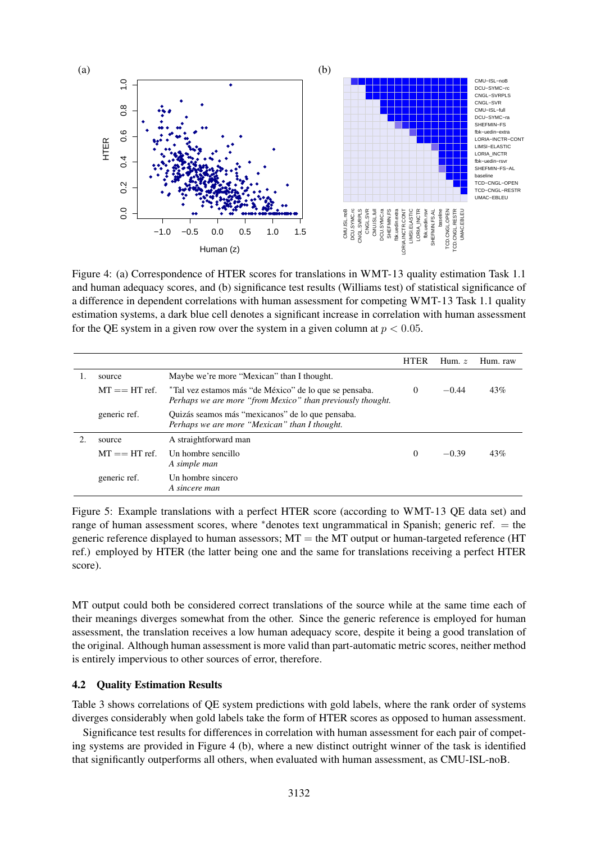

Figure 4: (a) Correspondence of HTER scores for translations in WMT-13 quality estimation Task 1.1 and human adequacy scores, and (b) significance test results (Williams test) of statistical significance of a difference in dependent correlations with human assessment for competing WMT-13 Task 1.1 quality estimation systems, a dark blue cell denotes a significant increase in correlation with human assessment for the QE system in a given row over the system in a given column at  $p < 0.05$ .

|                      |                                                                                                                      | <b>HTER</b> | Hum. $z$ | Hum. raw |
|----------------------|----------------------------------------------------------------------------------------------------------------------|-------------|----------|----------|
| source               | Maybe we're more "Mexican" than I thought.                                                                           |             |          |          |
| $MT \equiv H T$ ref. | *Tal vez estamos más "de México" de lo que se pensaba.<br>Perhaps we are more "from Mexico" than previously thought. | $\Omega$    | $-0.44$  | 43%      |
| generic ref.         | Quizás seamos más "mexicanos" de lo que pensaba.<br>Perhaps we are more "Mexican" than I thought.                    |             |          |          |
| source               | A straightforward man                                                                                                |             |          |          |
| $MT \equiv H T$ ref. | Un hombre sencillo<br>A simple man                                                                                   | $\Omega$    | $-0.39$  | 43%      |
| generic ref.         | Un hombre sincero<br>A sincere man                                                                                   |             |          |          |

Figure 5: Example translations with a perfect HTER score (according to WMT-13 QE data set) and range of human assessment scores, where ∗denotes text ungrammatical in Spanish; generic ref. = the generic reference displayed to human assessors;  $MT =$  the MT output or human-targeted reference (HT ref.) employed by HTER (the latter being one and the same for translations receiving a perfect HTER score).

MT output could both be considered correct translations of the source while at the same time each of their meanings diverges somewhat from the other. Since the generic reference is employed for human assessment, the translation receives a low human adequacy score, despite it being a good translation of the original. Although human assessment is more valid than part-automatic metric scores, neither method is entirely impervious to other sources of error, therefore.

#### 4.2 Quality Estimation Results

Table 3 shows correlations of QE system predictions with gold labels, where the rank order of systems diverges considerably when gold labels take the form of HTER scores as opposed to human assessment.

Significance test results for differences in correlation with human assessment for each pair of competing systems are provided in Figure 4 (b), where a new distinct outright winner of the task is identified that significantly outperforms all others, when evaluated with human assessment, as CMU-ISL-noB.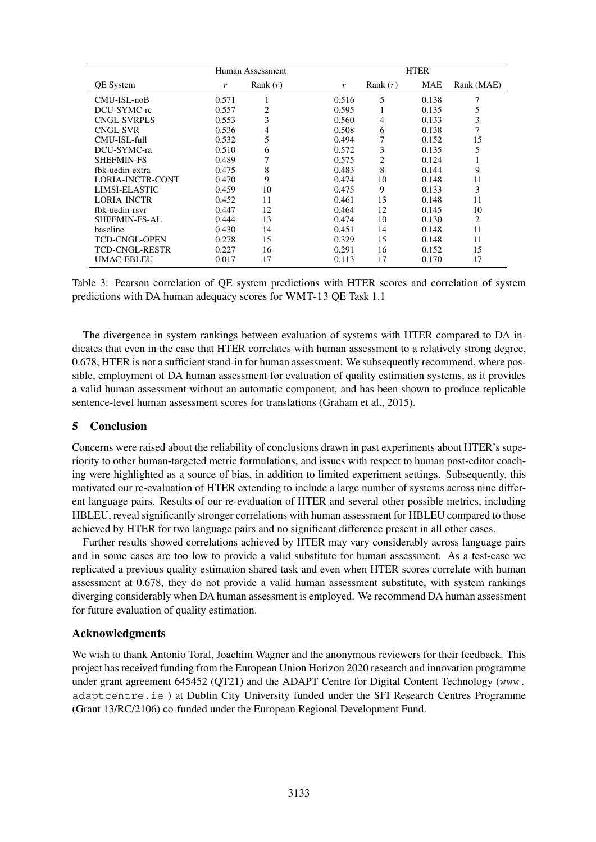|                         |                  | Human Assessment |                  | <b>HTER</b> |       |            |  |
|-------------------------|------------------|------------------|------------------|-------------|-------|------------|--|
| <b>QE</b> System        | $\boldsymbol{r}$ | Rank $(r)$       | $\boldsymbol{r}$ | Rank $(r)$  | MAE   | Rank (MAE) |  |
| CMU-ISL-noB             | 0.571            |                  | 0.516            | 5           | 0.138 | 7          |  |
| DCU-SYMC-rc             | 0.557            | 2                | 0.595            |             | 0.135 | 5          |  |
| <b>CNGL-SVRPLS</b>      | 0.553            | 3                | 0.560            | 4           | 0.133 | 3          |  |
| <b>CNGL-SVR</b>         | 0.536            | 4                | 0.508            | 6           | 0.138 | 7          |  |
| CMU-ISL-full            | 0.532            | 5                | 0.494            | 7           | 0.152 | 15         |  |
| DCU-SYMC-ra             | 0.510            | 6                | 0.572            | 3           | 0.135 | 5          |  |
| <b>SHEFMIN-FS</b>       | 0.489            | 7                | 0.575            | 2           | 0.124 |            |  |
| fbk-uedin-extra         | 0.475            | 8                | 0.483            | 8           | 0.144 | 9          |  |
| <b>LORIA-INCTR-CONT</b> | 0.470            | 9                | 0.474            | 10          | 0.148 | 11         |  |
| LIMSI-ELASTIC           | 0.459            | 10               | 0.475            | 9           | 0.133 | 3          |  |
| <b>LORIA INCTR</b>      | 0.452            | 11               | 0.461            | 13          | 0.148 | 11         |  |
| fbk-uedin-rsvr          | 0.447            | 12               | 0.464            | 12          | 0.145 | 10         |  |
| <b>SHEFMIN-FS-AL</b>    | 0.444            | 13               | 0.474            | 10          | 0.130 | 2          |  |
| baseline                | 0.430            | 14               | 0.451            | 14          | 0.148 | 11         |  |
| <b>TCD-CNGL-OPEN</b>    | 0.278            | 15               | 0.329            | 15          | 0.148 | 11         |  |
| TCD-CNGL-RESTR          | 0.227            | 16               | 0.291            | 16          | 0.152 | 15         |  |
| <b>UMAC-EBLEU</b>       | 0.017            | 17               | 0.113            | 17          | 0.170 | 17         |  |

Table 3: Pearson correlation of QE system predictions with HTER scores and correlation of system predictions with DA human adequacy scores for WMT-13 QE Task 1.1

The divergence in system rankings between evaluation of systems with HTER compared to DA indicates that even in the case that HTER correlates with human assessment to a relatively strong degree, 0.678, HTER is not a sufficient stand-in for human assessment. We subsequently recommend, where possible, employment of DA human assessment for evaluation of quality estimation systems, as it provides a valid human assessment without an automatic component, and has been shown to produce replicable sentence-level human assessment scores for translations (Graham et al., 2015).

## 5 Conclusion

Concerns were raised about the reliability of conclusions drawn in past experiments about HTER's superiority to other human-targeted metric formulations, and issues with respect to human post-editor coaching were highlighted as a source of bias, in addition to limited experiment settings. Subsequently, this motivated our re-evaluation of HTER extending to include a large number of systems across nine different language pairs. Results of our re-evaluation of HTER and several other possible metrics, including HBLEU, reveal significantly stronger correlations with human assessment for HBLEU compared to those achieved by HTER for two language pairs and no significant difference present in all other cases.

Further results showed correlations achieved by HTER may vary considerably across language pairs and in some cases are too low to provide a valid substitute for human assessment. As a test-case we replicated a previous quality estimation shared task and even when HTER scores correlate with human assessment at 0.678, they do not provide a valid human assessment substitute, with system rankings diverging considerably when DA human assessment is employed. We recommend DA human assessment for future evaluation of quality estimation.

## Acknowledgments

We wish to thank Antonio Toral, Joachim Wagner and the anonymous reviewers for their feedback. This project has received funding from the European Union Horizon 2020 research and innovation programme under grant agreement 645452 (QT21) and the ADAPT Centre for Digital Content Technology (www. adaptcentre.ie ) at Dublin City University funded under the SFI Research Centres Programme (Grant 13/RC/2106) co-funded under the European Regional Development Fund.